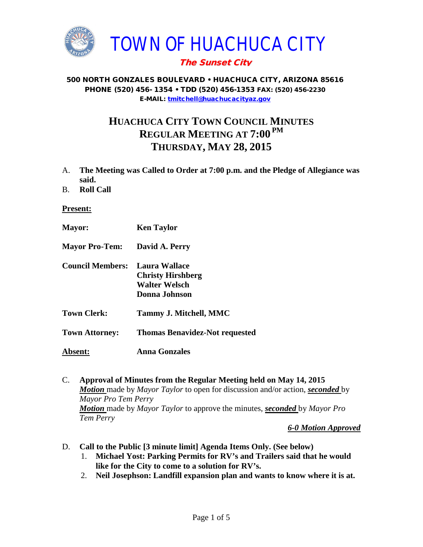

# The Sunset City

#### 500 NORTH GONZALES BOULEVARD • HUACHUCA CITY, ARIZONA 85616 PHONE (520) 456- 1354 • TDD (520) 456-1353 FAX: (520) 456-2230 E-MAIL: [tmitchell@huachucacityaz.gov](mailto:tmitchell@huachucacityaz.gov)

# **HUACHUCA CITY TOWN COUNCIL MINUTES REGULAR MEETING AT 7:00 PM THURSDAY, MAY 28, 2015**

- A. **The Meeting was Called to Order at 7:00 p.m. and the Pledge of Allegiance was said.**
- B. **Roll Call**

**Present:**

- **Mayor: Ken Taylor**
- **Mayor Pro-Tem: David A. Perry**
- **Council Members: Laura Wallace Christy Hirshberg Walter Welsch Donna Johnson**
- **Town Clerk: Tammy J. Mitchell, MMC**
- **Town Attorney: Thomas Benavidez-Not requested**
- **Absent: Anna Gonzales**
- C. **Approval of Minutes from the Regular Meeting held on May 14, 2015** *Motion* made by *Mayor Taylor* to open for discussion and/or action, *seconded* by *Mayor Pro Tem Perry Motion* made by *Mayor Taylor* to approve the minutes, *seconded* by *Mayor Pro Tem Perry*

*6-0 Motion Approved*

- D. **Call to the Public [3 minute limit] Agenda Items Only. (See below)**
	- 1. **Michael Yost: Parking Permits for RV's and Trailers said that he would like for the City to come to a solution for RV's.**
	- 2. **Neil Josephson: Landfill expansion plan and wants to know where it is at.**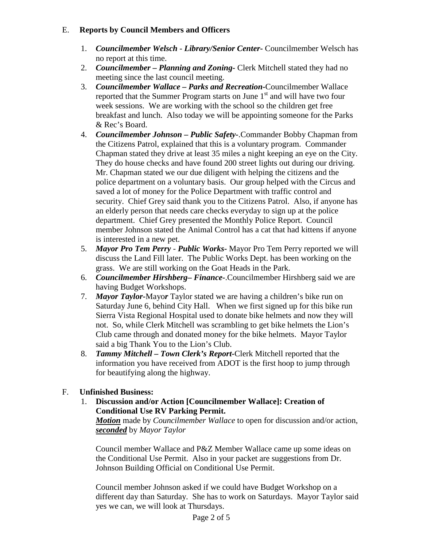# E. **Reports by Council Members and Officers**

- 1. *Councilmember Welsch - Library/Senior Center***-** Councilmember Welsch has no report at this time.
- 2. *Councilmember* **–** *Planning and Zoning-* Clerk Mitchell stated they had no meeting since the last council meeting.
- 3. *Councilmember Wallace* **–** *Parks and Recreation***-**Councilmember Wallace reported that the Summer Program starts on June  $1<sup>st</sup>$  and will have two four week sessions. We are working with the school so the children get free breakfast and lunch. Also today we will be appointing someone for the Parks & Rec's Board.
- 4. *Councilmember Johnson – Public Safety-*.Commander Bobby Chapman from the Citizens Patrol, explained that this is a voluntary program. Commander Chapman stated they drive at least 35 miles a night keeping an eye on the City. They do house checks and have found 200 street lights out during our driving. Mr. Chapman stated we our due diligent with helping the citizens and the police department on a voluntary basis. Our group helped with the Circus and saved a lot of money for the Police Department with traffic control and security. Chief Grey said thank you to the Citizens Patrol. Also, if anyone has an elderly person that needs care checks everyday to sign up at the police department. Chief Grey presented the Monthly Police Report. Council member Johnson stated the Animal Control has a cat that had kittens if anyone is interested in a new pet.
- 5. *Mayor Pro Tem Perry Public Works-* Mayor Pro Tem Perry reported we will discuss the Land Fill later. The Public Works Dept. has been working on the grass. We are still working on the Goat Heads in the Park.
- 6. *Councilmember Hirshberg***–** *Finance-*.Councilmember Hirshberg said we are having Budget Workshops.
- 7. *Mayor Taylor-*Mayo*r* Taylor stated we are having a children's bike run on Saturday June 6, behind City Hall. When we first signed up for this bike run Sierra Vista Regional Hospital used to donate bike helmets and now they will not. So, while Clerk Mitchell was scrambling to get bike helmets the Lion's Club came through and donated money for the bike helmets. Mayor Taylor said a big Thank You to the Lion's Club.
- 8. *Tammy Mitchell – Town Clerk's Report-*Clerk Mitchell reported that the information you have received from ADOT is the first hoop to jump through for beautifying along the highway.

# F. **Unfinished Business:**

1. **Discussion and/or Action [Councilmember Wallace]: Creation of Conditional Use RV Parking Permit.**

*Motion* made by *Councilmember Wallace* to open for discussion and/or action, *seconded* by *Mayor Taylor*

Council member Wallace and P&Z Member Wallace came up some ideas on the Conditional Use Permit. Also in your packet are suggestions from Dr. Johnson Building Official on Conditional Use Permit.

Council member Johnson asked if we could have Budget Workshop on a different day than Saturday. She has to work on Saturdays. Mayor Taylor said yes we can, we will look at Thursdays.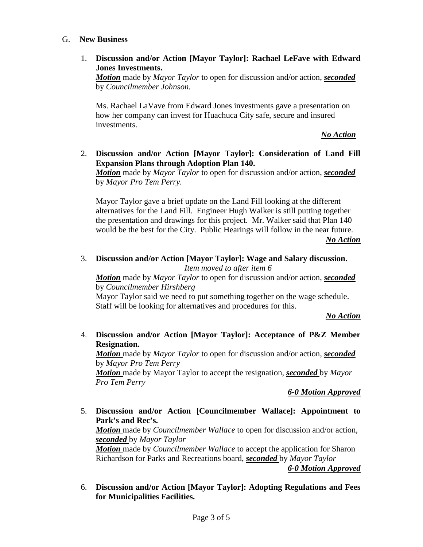#### G. **New Business**

1. **Discussion and/or Action [Mayor Taylor]: Rachael LeFave with Edward Jones Investments.**

*Motion* made by *Mayor Taylor* to open for discussion and/or action, *seconded* by *Councilmember Johnson.*

Ms. Rachael LaVave from Edward Jones investments gave a presentation on how her company can invest for Huachuca City safe, secure and insured investments.

*No Action*

2. **Discussion and/or Action [Mayor Taylor]: Consideration of Land Fill Expansion Plans through Adoption Plan 140.**

*Motion* made by *Mayor Taylor* to open for discussion and/or action, *seconded* by *Mayor Pro Tem Perry.*

Mayor Taylor gave a brief update on the Land Fill looking at the different alternatives for the Land Fill. Engineer Hugh Walker is still putting together the presentation and drawings for this project. Mr. Walker said that Plan 140 would be the best for the City. Public Hearings will follow in the near future.

*No Action*

3. **Discussion and/or Action [Mayor Taylor]: Wage and Salary discussion.** *Item moved to after item 6*

*Motion* made by *Mayor Taylor* to open for discussion and/or action, *seconded* by *Councilmember Hirshberg* Mayor Taylor said we need to put something together on the wage schedule.

Staff will be looking for alternatives and procedures for this.

*No Action*

4. **Discussion and/or Action [Mayor Taylor]: Acceptance of P&Z Member Resignation.**

*Motion* made by *Mayor Taylor* to open for discussion and/or action, *seconded*  by *Mayor Pro Tem Perry*

*Motion* made by Mayor Taylor to accept the resignation, *seconded* by *Mayor Pro Tem Perry*

*6-0 Motion Approved*

- 5. **Discussion and/or Action [Councilmember Wallace]: Appointment to Park's and Rec's.** *Motion* made by *Councilmember Wallace* to open for discussion and/or action, *seconded* by *Mayor Taylor Motion* made by *Councilmember Wallace* to accept the application for Sharon Richardson for Parks and Recreations board, *seconded* by *Mayor Taylor 6-0 Motion Approved*
- 6. **Discussion and/or Action [Mayor Taylor]: Adopting Regulations and Fees for Municipalities Facilities.**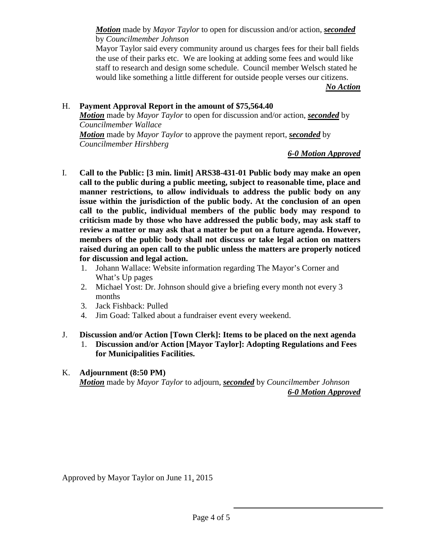*Motion* made by *Mayor Taylor* to open for discussion and/or action, *seconded* by *Councilmember Johnson*

Mayor Taylor said every community around us charges fees for their ball fields the use of their parks etc. We are looking at adding some fees and would like staff to research and design some schedule. Council member Welsch stated he would like something a little different for outside people verses our citizens.

*No Action*

## H. **Payment Approval Report in the amount of \$75,564.40**

*Motion* made by *Mayor Taylor* to open for discussion and/or action, *seconded* by *Councilmember Wallace*

*Motion* made by *Mayor Taylor* to approve the payment report, *seconded* by *Councilmember Hirshberg*

#### *6-0 Motion Approved*

- I. **Call to the Public: [3 min. limit] ARS38-431-01 Public body may make an open call to the public during a public meeting, subject to reasonable time, place and manner restrictions, to allow individuals to address the public body on any issue within the jurisdiction of the public body. At the conclusion of an open call to the public, individual members of the public body may respond to criticism made by those who have addressed the public body, may ask staff to review a matter or may ask that a matter be put on a future agenda. However, members of the public body shall not discuss or take legal action on matters raised during an open call to the public unless the matters are properly noticed for discussion and legal action.**
	- 1. Johann Wallace: Website information regarding The Mayor's Corner and What's Up pages
	- 2. Michael Yost: Dr. Johnson should give a briefing every month not every 3 months
	- 3. Jack Fishback: Pulled
	- 4. Jim Goad: Talked about a fundraiser event every weekend.

## J. **Discussion and/or Action [Town Clerk]: Items to be placed on the next agenda** 1. **Discussion and/or Action [Mayor Taylor]: Adopting Regulations and Fees for Municipalities Facilities.**

## K. **Adjournment (8:50 PM)**

*Motion* made by *Mayor Taylor* to adjourn, *seconded* by *Councilmember Johnson 6-0 Motion Approved*

Approved by Mayor Taylor on June 11, 2015